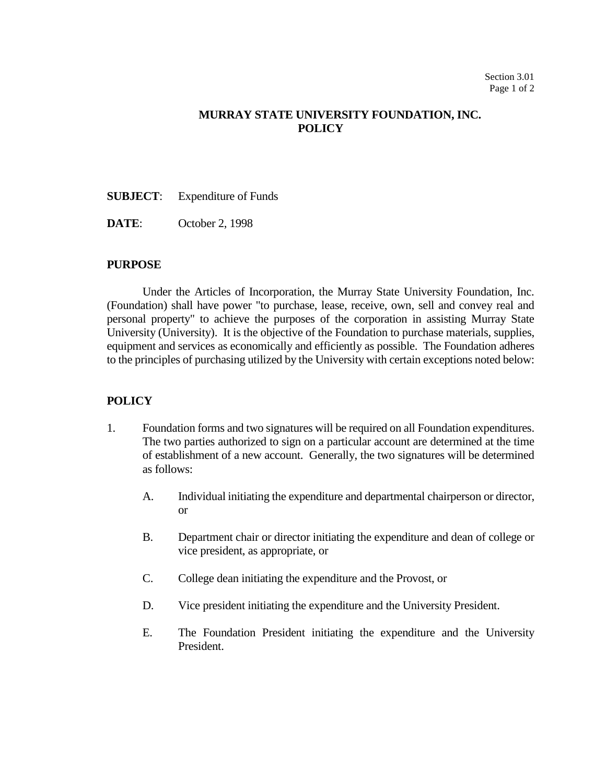## **MURRAY STATE UNIVERSITY FOUNDATION, INC. POLICY**

- **SUBJECT**: Expenditure of Funds
- **DATE**: October 2, 1998

## **PURPOSE**

Under the Articles of Incorporation, the Murray State University Foundation, Inc. (Foundation) shall have power "to purchase, lease, receive, own, sell and convey real and personal property" to achieve the purposes of the corporation in assisting Murray State University (University). It is the objective of the Foundation to purchase materials, supplies, equipment and services as economically and efficiently as possible. The Foundation adheres to the principles of purchasing utilized by the University with certain exceptions noted below:

## **POLICY**

- 1. Foundation forms and two signatures will be required on all Foundation expenditures. The two parties authorized to sign on a particular account are determined at the time of establishment of a new account. Generally, the two signatures will be determined as follows:
	- A. Individual initiating the expenditure and departmental chairperson or director, or
	- B. Department chair or director initiating the expenditure and dean of college or vice president, as appropriate, or
	- C. College dean initiating the expenditure and the Provost, or
	- D. Vice president initiating the expenditure and the University President.
	- E. The Foundation President initiating the expenditure and the University President.